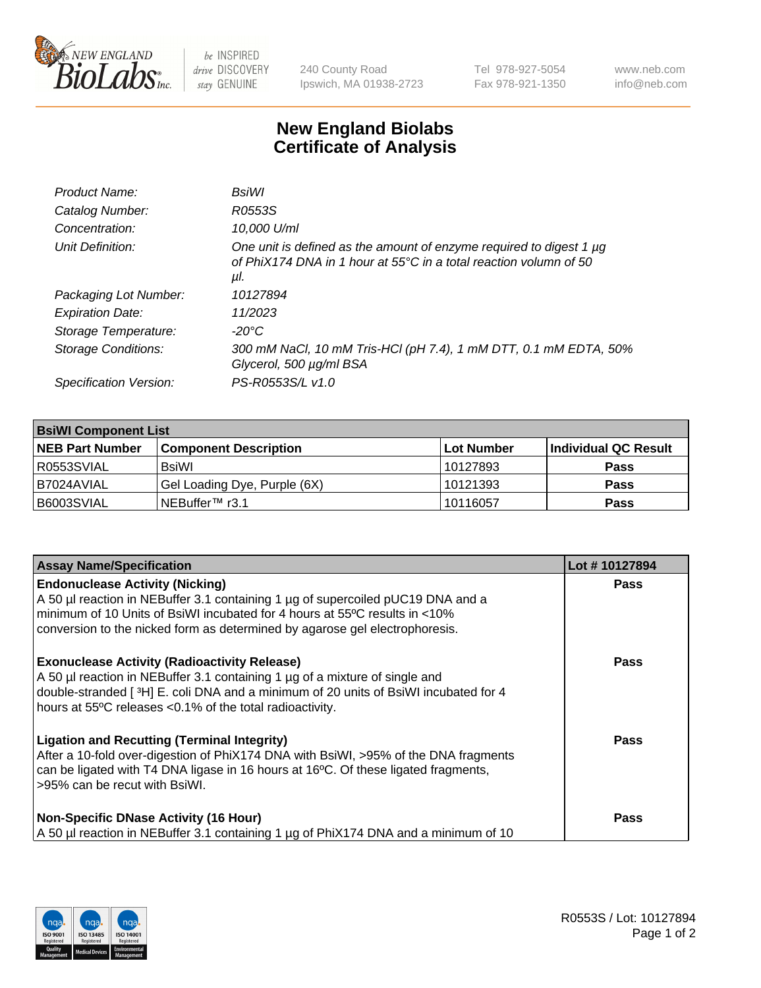

 $be$  INSPIRED drive DISCOVERY stay GENUINE

240 County Road Ipswich, MA 01938-2723 Tel 978-927-5054 Fax 978-921-1350 www.neb.com info@neb.com

## **New England Biolabs Certificate of Analysis**

| Product Name:              | <b>BsiWI</b>                                                                                                                                              |
|----------------------------|-----------------------------------------------------------------------------------------------------------------------------------------------------------|
| Catalog Number:            | R0553S                                                                                                                                                    |
| Concentration:             | 10,000 U/ml                                                                                                                                               |
| Unit Definition:           | One unit is defined as the amount of enzyme required to digest 1 µg<br>of PhiX174 DNA in 1 hour at $55^{\circ}$ C in a total reaction volumn of 50<br>μl. |
| Packaging Lot Number:      | 10127894                                                                                                                                                  |
| <b>Expiration Date:</b>    | 11/2023                                                                                                                                                   |
| Storage Temperature:       | $-20^{\circ}$ C                                                                                                                                           |
| <b>Storage Conditions:</b> | 300 mM NaCl, 10 mM Tris-HCl (pH 7.4), 1 mM DTT, 0.1 mM EDTA, 50%<br>Glycerol, 500 µg/ml BSA                                                               |
| Specification Version:     | PS-R0553S/L v1.0                                                                                                                                          |

| <b>BsiWI Component List</b> |                              |             |                      |  |  |
|-----------------------------|------------------------------|-------------|----------------------|--|--|
| <b>NEB Part Number</b>      | <b>Component Description</b> | ∣Lot Number | Individual QC Result |  |  |
| R0553SVIAL                  | BsiWl                        | 10127893    | <b>Pass</b>          |  |  |
| B7024AVIAL                  | Gel Loading Dye, Purple (6X) | 10121393    | <b>Pass</b>          |  |  |
| B6003SVIAL                  | NEBuffer <sup>™</sup> r3.1   | 10116057    | <b>Pass</b>          |  |  |

| <b>Assay Name/Specification</b>                                                                                                                                                                                                                                                        | Lot #10127894 |
|----------------------------------------------------------------------------------------------------------------------------------------------------------------------------------------------------------------------------------------------------------------------------------------|---------------|
| <b>Endonuclease Activity (Nicking)</b><br>A 50 µl reaction in NEBuffer 3.1 containing 1 µg of supercoiled pUC19 DNA and a<br>minimum of 10 Units of BsiWI incubated for 4 hours at 55°C results in <10%<br>conversion to the nicked form as determined by agarose gel electrophoresis. | <b>Pass</b>   |
| <b>Exonuclease Activity (Radioactivity Release)</b><br>A 50 µl reaction in NEBuffer 3.1 containing 1 µg of a mixture of single and<br>double-stranded [3H] E. coli DNA and a minimum of 20 units of BsiWI incubated for 4<br>hours at 55°C releases <0.1% of the total radioactivity.  | <b>Pass</b>   |
| <b>Ligation and Recutting (Terminal Integrity)</b><br>After a 10-fold over-digestion of PhiX174 DNA with BsiWI, >95% of the DNA fragments<br>can be ligated with T4 DNA ligase in 16 hours at 16°C. Of these ligated fragments,<br>>95% can be recut with BsiWI.                       | <b>Pass</b>   |
| <b>Non-Specific DNase Activity (16 Hour)</b><br>A 50 µl reaction in NEBuffer 3.1 containing 1 µg of PhiX174 DNA and a minimum of 10                                                                                                                                                    | <b>Pass</b>   |